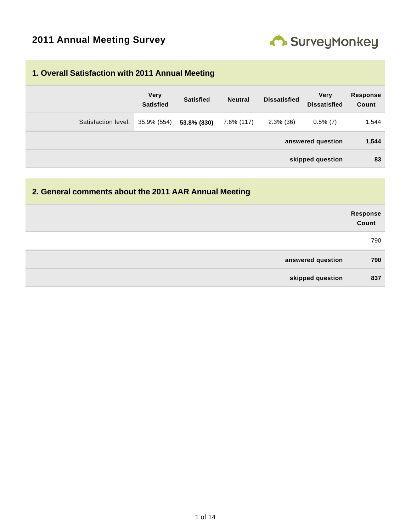

#### **1. Overall Satisfaction with 2011 Annual Meeting**

|                     | <b>Very</b><br><b>Satisfied</b> | <b>Satisfied</b> | <b>Neutral</b> | <b>Dissatisfied</b> | <b>Verv</b><br><b>Dissatisfied</b> | <b>Response</b><br>Count |
|---------------------|---------------------------------|------------------|----------------|---------------------|------------------------------------|--------------------------|
| Satisfaction level: | 35.9% (554)                     | 53.8% (830)      | 7.6% (117)     | $2.3\%$ (36)        | $0.5\%$ (7)                        | 1,544                    |
|                     |                                 |                  |                |                     | answered question                  | 1,544                    |
|                     |                                 |                  |                |                     | skipped question                   | 83                       |

### **2. General comments about the 2011 AAR Annual Meeting**

|                   | Response<br>Count |
|-------------------|-------------------|
|                   | 790               |
| answered question | 790               |
| skipped question  | 837               |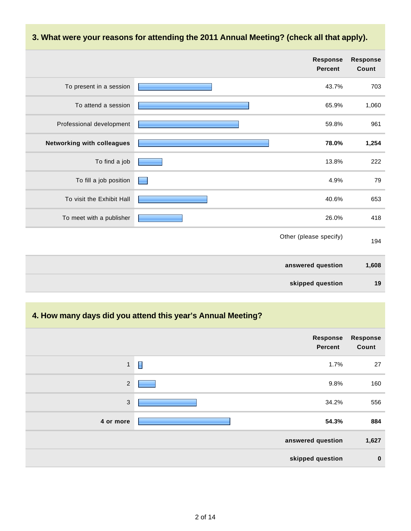#### **3. What were your reasons for attending the 2011 Annual Meeting? (check all that apply).**

|                            | <b>Response</b><br><b>Percent</b> | <b>Response</b><br>Count |
|----------------------------|-----------------------------------|--------------------------|
| To present in a session    | 43.7%                             | 703                      |
| To attend a session        | 65.9%                             | 1,060                    |
| Professional development   | 59.8%                             | 961                      |
| Networking with colleagues | 78.0%                             | 1,254                    |
| To find a job              | 13.8%                             | 222                      |
| To fill a job position     | 4.9%                              | 79                       |
| To visit the Exhibit Hall  | 40.6%                             | 653                      |
| To meet with a publisher   | 26.0%                             | 418                      |
|                            | Other (please specify)            | 194                      |
|                            | answered question                 | 1,608                    |
|                            | skipped question                  | 19                       |

## **4. How many days did you attend this year's Annual Meeting?**

|              |                | Response<br><b>Percent</b> | <b>Response</b><br>Count |
|--------------|----------------|----------------------------|--------------------------|
| $\mathbf{1}$ | $\blacksquare$ | 1.7%                       | 27                       |
| $\sqrt{2}$   |                | 9.8%                       | 160                      |
| $\sqrt{3}$   |                | 34.2%                      | 556                      |
| 4 or more    |                | 54.3%                      | 884                      |
|              |                | answered question          | 1,627                    |
|              |                | skipped question           | $\mathbf 0$              |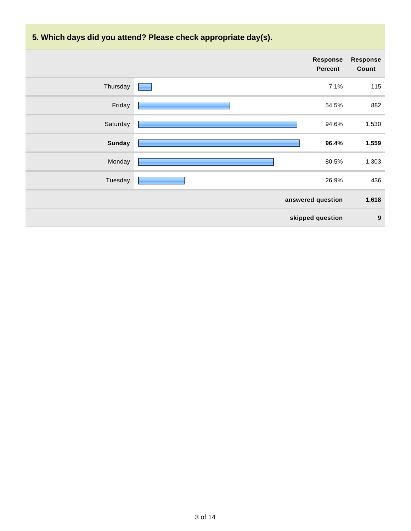**5. Which days did you attend? Please check appropriate day(s).**

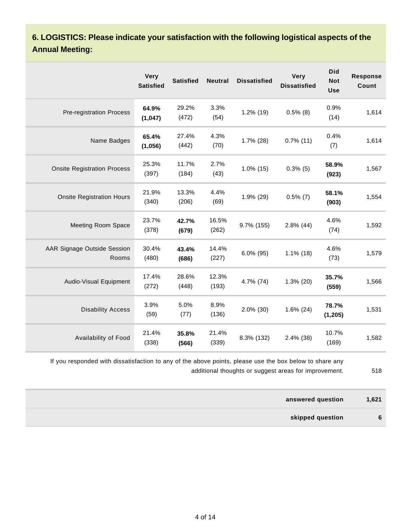**6. LOGISTICS: Please indicate your satisfaction with the following logistical aspects of the Annual Meeting:**

|                                      | <b>Very</b><br><b>Satisfied</b> | <b>Satisfied</b> | <b>Neutral</b> | <b>Dissatisfied</b> | <b>Very</b><br><b>Dissatisfied</b> | <b>Did</b><br><b>Not</b><br><b>Use</b> | <b>Response</b><br>Count |
|--------------------------------------|---------------------------------|------------------|----------------|---------------------|------------------------------------|----------------------------------------|--------------------------|
| Pre-registration Process             | 64.9%<br>(1,047)                | 29.2%<br>(472)   | 3.3%<br>(54)   | 1.2% (19)           | $0.5\%$ (8)                        | 0.9%<br>(14)                           | 1,614                    |
| Name Badges                          | 65.4%<br>(1,056)                | 27.4%<br>(442)   | 4.3%<br>(70)   | $1.7\%$ (28)        | $0.7\%$ (11)                       | 0.4%<br>(7)                            | 1,614                    |
| <b>Onsite Registration Process</b>   | 25.3%<br>(397)                  | 11.7%<br>(184)   | 2.7%<br>(43)   | $1.0\%$ (15)        | $0.3\%$ (5)                        | 58.9%<br>(923)                         | 1,567                    |
| <b>Onsite Registration Hours</b>     | 21.9%<br>(340)                  | 13.3%<br>(206)   | 4.4%<br>(69)   | 1.9% (29)           | $0.5\%$ (7)                        | 58.1%<br>(903)                         | 1,554                    |
| <b>Meeting Room Space</b>            | 23.7%<br>(378)                  | 42.7%<br>(679)   | 16.5%<br>(262) | 9.7% (155)          | $2.8\%$ (44)                       | 4.6%<br>(74)                           | 1,592                    |
| AAR Signage Outside Session<br>Rooms | 30.4%<br>(480)                  | 43.4%<br>(686)   | 14.4%<br>(227) | $6.0\%$ (95)        | $1.1\%$ (18)                       | 4.6%<br>(73)                           | 1,579                    |
| Audio-Visual Equipment               | 17.4%<br>(272)                  | 28.6%<br>(448)   | 12.3%<br>(193) | 4.7% (74)           | $1.3\%$ (20)                       | 35.7%<br>(559)                         | 1,566                    |
| <b>Disability Access</b>             | 3.9%<br>(59)                    | 5.0%<br>(77)     | 8.9%<br>(136)  | $2.0\%$ (30)        | 1.6% (24)                          | 78.7%<br>(1, 205)                      | 1,531                    |
| Availability of Food                 | 21.4%<br>(338)                  | 35.8%<br>(566)   | 21.4%<br>(339) | 8.3% (132)          | 2.4% (38)                          | 10.7%<br>(169)                         | 1,582                    |

If you responded with dissatisfaction to any of the above points, please use the box below to share any additional thoughts or suggest areas for improvement. 518

| answered question | 1,621 |
|-------------------|-------|
| skipped question  | 6     |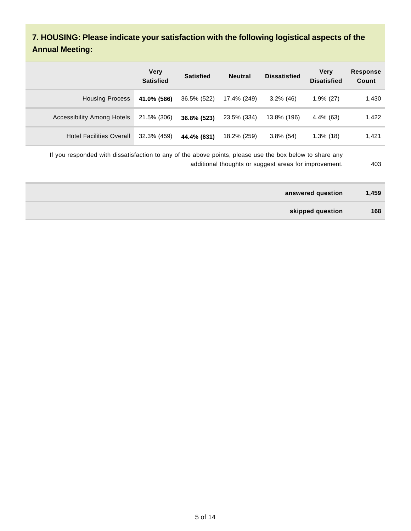## **7. HOUSING: Please indicate your satisfaction with the following logistical aspects of the Annual Meeting:**

|                                   | <b>Very</b><br><b>Satisfied</b> | <b>Satisfied</b> | <b>Neutral</b> | <b>Dissatisfied</b> | <b>Very</b><br><b>Disatisfied</b> | <b>Response</b><br>Count |
|-----------------------------------|---------------------------------|------------------|----------------|---------------------|-----------------------------------|--------------------------|
| <b>Housing Process</b>            | 41.0% (586)                     | 36.5% (522)      | 17.4% (249)    | $3.2\%$ (46)        | $1.9\%$ (27)                      | 1,430                    |
| <b>Accessibility Among Hotels</b> | 21.5% (306)                     | 36.8% (523)      | 23.5% (334)    | 13.8% (196)         | 4.4% (63)                         | 1,422                    |
| <b>Hotel Facilities Overall</b>   | 32.3% (459)                     | 44.4% (631)      | 18.2% (259)    | $3.8\%$ (54)        | $1.3\%$ (18)                      | 1,421                    |

If you responded with dissatisfaction to any of the above points, please use the box below to share any additional thoughts or suggest areas for improvement. 403

| answered question | 1,459 |
|-------------------|-------|
| skipped question  | 168   |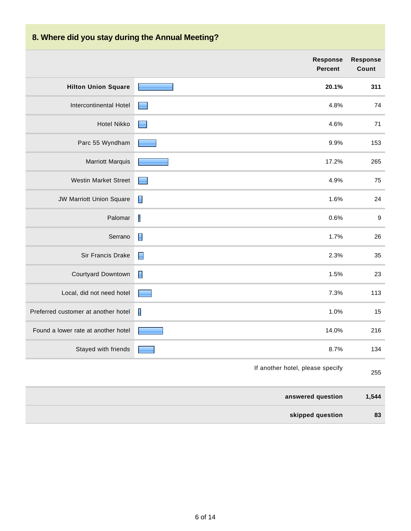# **8. Where did you stay during the Annual Meeting?**

|                                     | <b>Response</b><br><b>Percent</b> | <b>Response</b><br>Count |
|-------------------------------------|-----------------------------------|--------------------------|
| <b>Hilton Union Square</b>          | 20.1%                             | 311                      |
| Intercontinental Hotel              | 4.8%                              | 74                       |
| <b>Hotel Nikko</b>                  | 4.6%                              | 71                       |
| Parc 55 Wyndham                     | 9.9%                              | 153                      |
| <b>Marriott Marquis</b>             | 17.2%                             | 265                      |
| <b>Westin Market Street</b>         | 4.9%                              | 75                       |
| <b>JW Marriott Union Square</b>     | $\blacksquare$<br>1.6%            | 24                       |
| Palomar                             | I<br>0.6%                         | $\boldsymbol{9}$         |
| Serrano                             | $\blacksquare$<br>1.7%            | 26                       |
| Sir Francis Drake                   | $\blacksquare$<br>2.3%            | 35                       |
| Courtyard Downtown                  | $\blacksquare$<br>1.5%            | 23                       |
| Local, did not need hotel           | 7.3%                              | 113                      |
| Preferred customer at another hotel | I<br>1.0%                         | 15                       |
| Found a lower rate at another hotel | 14.0%                             | 216                      |
| Stayed with friends                 | 8.7%                              | 134                      |
|                                     | If another hotel, please specify  | 255                      |
|                                     | answered question                 | 1,544                    |
|                                     | skipped question                  | 83                       |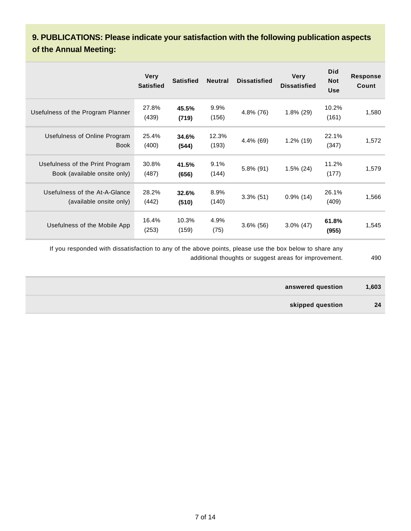### **9. PUBLICATIONS: Please indicate your satisfaction with the following publication aspects of the Annual Meeting:**

|                                                                 | <b>Very</b><br><b>Satisfied</b> | <b>Satisfied</b> | <b>Neutral</b> | <b>Dissatisfied</b> | <b>Very</b><br><b>Dissatisfied</b> | <b>Did</b><br><b>Not</b><br><b>Use</b> | <b>Response</b><br>Count |
|-----------------------------------------------------------------|---------------------------------|------------------|----------------|---------------------|------------------------------------|----------------------------------------|--------------------------|
| Usefulness of the Program Planner                               | 27.8%<br>(439)                  | 45.5%<br>(719)   | 9.9%<br>(156)  | 4.8% (76)           | $1.8\%$ (29)                       | 10.2%<br>(161)                         | 1,580                    |
| Usefulness of Online Program<br><b>Book</b>                     | 25.4%<br>(400)                  | 34.6%<br>(544)   | 12.3%<br>(193) | 4.4% (69)           | 1.2% (19)                          | 22.1%<br>(347)                         | 1,572                    |
| Usefulness of the Print Program<br>Book (available onsite only) | 30.8%<br>(487)                  | 41.5%<br>(656)   | 9.1%<br>(144)  | $5.8\%$ (91)        | $1.5\%$ (24)                       | 11.2%<br>(177)                         | 1,579                    |
| Usefulness of the At-A-Glance<br>(available onsite only)        | 28.2%<br>(442)                  | 32.6%<br>(510)   | 8.9%<br>(140)  | $3.3\%$ (51)        | $0.9\%$ (14)                       | 26.1%<br>(409)                         | 1,566                    |
| Usefulness of the Mobile App                                    | 16.4%<br>(253)                  | 10.3%<br>(159)   | 4.9%<br>(75)   | $3.6\%$ (56)        | $3.0\%$ (47)                       | 61.8%<br>(955)                         | 1,545                    |

If you responded with dissatisfaction to any of the above points, please use the box below to share any additional thoughts or suggest areas for improvement. 490

- 
- **answered question 1,603**
	- **skipped question 24**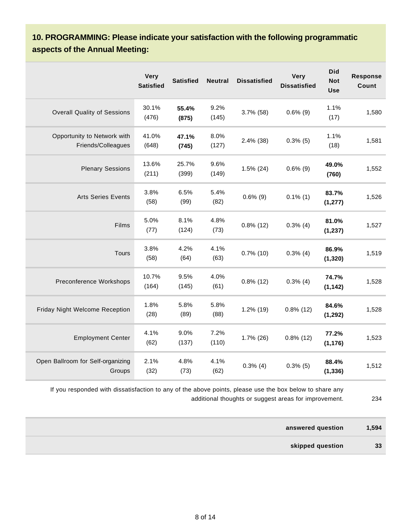### **10. PROGRAMMING: Please indicate your satisfaction with the following programmatic aspects of the Annual Meeting:**

|                                                   | <b>Very</b><br><b>Satisfied</b> | <b>Satisfied</b> | <b>Neutral</b> | <b>Dissatisfied</b> | Very<br><b>Dissatisfied</b> | <b>Did</b><br><b>Not</b><br><b>Use</b> | <b>Response</b><br>Count |
|---------------------------------------------------|---------------------------------|------------------|----------------|---------------------|-----------------------------|----------------------------------------|--------------------------|
| <b>Overall Quality of Sessions</b>                | 30.1%<br>(476)                  | 55.4%<br>(875)   | 9.2%<br>(145)  | 3.7% (58)           | $0.6\%$ (9)                 | 1.1%<br>(17)                           | 1,580                    |
| Opportunity to Network with<br>Friends/Colleagues | 41.0%<br>(648)                  | 47.1%<br>(745)   | 8.0%<br>(127)  | 2.4% (38)           | $0.3\%$ (5)                 | 1.1%<br>(18)                           | 1,581                    |
| <b>Plenary Sessions</b>                           | 13.6%<br>(211)                  | 25.7%<br>(399)   | 9.6%<br>(149)  | $1.5\%$ (24)        | $0.6\%$ (9)                 | 49.0%<br>(760)                         | 1,552                    |
| <b>Arts Series Events</b>                         | 3.8%<br>(58)                    | 6.5%<br>(99)     | 5.4%<br>(82)   | $0.6\%$ (9)         | $0.1\%$ (1)                 | 83.7%<br>(1, 277)                      | 1,526                    |
| Films                                             | 5.0%<br>(77)                    | 8.1%<br>(124)    | 4.8%<br>(73)   | $0.8\%$ (12)        | $0.3\%$ (4)                 | 81.0%<br>(1, 237)                      | 1,527                    |
| <b>Tours</b>                                      | 3.8%<br>(58)                    | 4.2%<br>(64)     | 4.1%<br>(63)   | $0.7\%$ (10)        | $0.3\%$ (4)                 | 86.9%<br>(1, 320)                      | 1,519                    |
| Preconference Workshops                           | 10.7%<br>(164)                  | 9.5%<br>(145)    | 4.0%<br>(61)   | $0.8\%$ (12)        | $0.3\%$ (4)                 | 74.7%<br>(1, 142)                      | 1,528                    |
| Friday Night Welcome Reception                    | 1.8%<br>(28)                    | 5.8%<br>(89)     | 5.8%<br>(88)   | $1.2\%$ (19)        | $0.8\%$ (12)                | 84.6%<br>(1, 292)                      | 1,528                    |
| <b>Employment Center</b>                          | 4.1%<br>(62)                    | 9.0%<br>(137)    | 7.2%<br>(110)  | $1.7\%$ (26)        | $0.8\%$ (12)                | 77.2%<br>(1, 176)                      | 1,523                    |
| Open Ballroom for Self-organizing<br>Groups       | 2.1%<br>(32)                    | 4.8%<br>(73)     | 4.1%<br>(62)   | $0.3\%$ (4)         | $0.3\%$ (5)                 | 88.4%<br>(1, 336)                      | 1,512                    |

If you responded with dissatisfaction to any of the above points, please use the box below to share any additional thoughts or suggest areas for improvement. 234

**answered question 1,594 skipped question 33**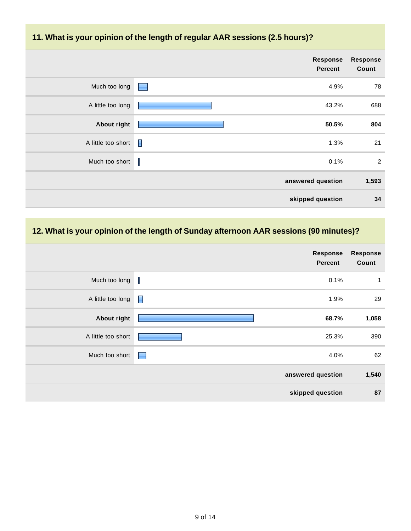#### **11. What is your opinion of the length of regular AAR sessions (2.5 hours)?**

|                    | Response<br><b>Percent</b> | Response<br>Count |
|--------------------|----------------------------|-------------------|
| Much too long      | 4.9%<br><b>Contract</b>    | 78                |
| A little too long  | 43.2%                      | 688               |
| <b>About right</b> | 50.5%                      | 804               |
| A little too short | Π<br>1.3%                  | 21                |
| Much too short     | 0.1%                       | 2                 |
|                    | answered question          | 1,593             |
|                    | skipped question           | 34                |

## **12. What is your opinion of the length of Sunday afternoon AAR sessions (90 minutes)?**

|                    | Response<br><b>Percent</b> | <b>Response</b><br>Count |
|--------------------|----------------------------|--------------------------|
| Much too long      | H<br>0.1%                  | 1                        |
| A little too long  | П<br>1.9%                  | 29                       |
| <b>About right</b> | 68.7%                      | 1,058                    |
| A little too short | 25.3%                      | 390                      |
| Much too short     | 4.0%<br><b>Research</b>    | 62                       |
|                    | answered question          | 1,540                    |
|                    | skipped question           | 87                       |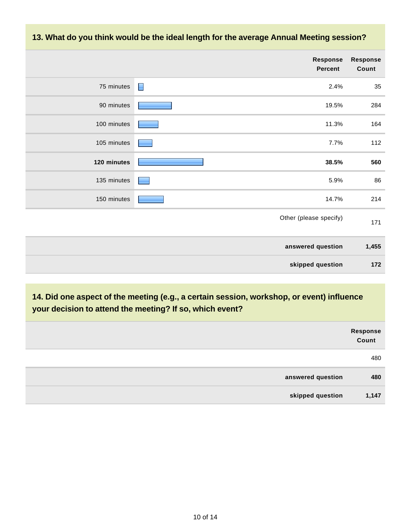

**14. Did one aspect of the meeting (e.g., a certain session, workshop, or event) influence your decision to attend the meeting? If so, which event?**

| Response<br>Count         |  |
|---------------------------|--|
| 480                       |  |
| 480<br>answered question  |  |
| skipped question<br>1,147 |  |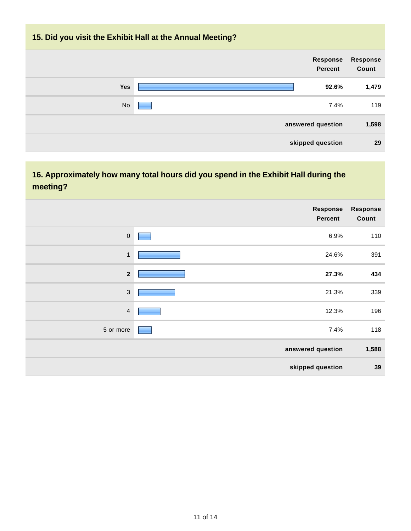### **15. Did you visit the Exhibit Hall at the Annual Meeting?**

| <b>Response</b><br>Count | <b>Response</b><br><b>Percent</b> |           |
|--------------------------|-----------------------------------|-----------|
| 1,479                    | 92.6%                             | Yes       |
| 119                      | 7.4%                              | <b>No</b> |
| 1,598                    | answered question                 |           |
| 29                       | skipped question                  |           |

## **16. Approximately how many total hours did you spend in the Exhibit Hall during the meeting?**

|                  | Response<br><b>Percent</b> | <b>Response</b><br>Count |
|------------------|----------------------------|--------------------------|
| $\boldsymbol{0}$ | 6.9%                       | 110                      |
| $\mathbf{1}$     | 24.6%                      | 391                      |
| $\overline{2}$   | 27.3%                      | 434                      |
| $\sqrt{3}$       | 21.3%                      | 339                      |
| $\overline{4}$   | 12.3%                      | 196                      |
| 5 or more        | 7.4%                       | 118                      |
|                  | answered question          | 1,588                    |
|                  | skipped question           | 39                       |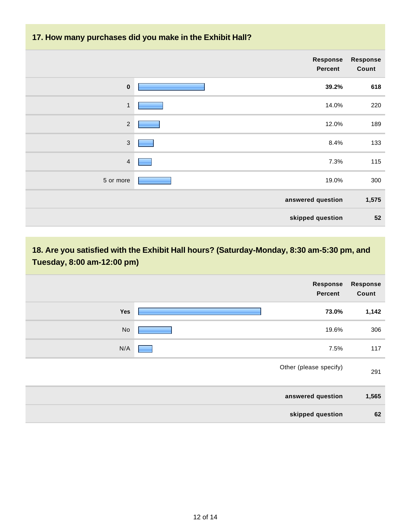#### **17. How many purchases did you make in the Exhibit Hall?**

|                | Response<br><b>Percent</b> | <b>Response</b><br>Count |
|----------------|----------------------------|--------------------------|
| $\mathbf 0$    | 39.2%                      | 618                      |
| $\mathbf{1}$   | 14.0%                      | 220                      |
| $\sqrt{2}$     | 12.0%                      | 189                      |
| $\mathfrak{Z}$ | 8.4%                       | 133                      |
| $\overline{4}$ | 7.3%                       | 115                      |
| 5 or more      | 19.0%                      | 300                      |
|                | answered question          | 1,575                    |
|                | skipped question           | 52                       |

**18. Are you satisfied with the Exhibit Hall hours? (Saturday-Monday, 8:30 am-5:30 pm, and Tuesday, 8:00 am-12:00 pm)**

|     | Response<br><b>Percent</b> | <b>Response</b><br>Count |
|-----|----------------------------|--------------------------|
| Yes | 73.0%                      | 1,142                    |
| No  | 19.6%                      | 306                      |
| N/A | 7.5%                       | 117                      |
|     | Other (please specify)     | 291                      |
|     | answered question          | 1,565                    |
|     | skipped question           | 62                       |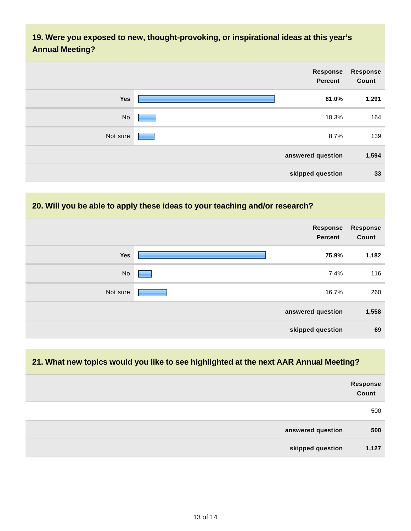### **19. Were you exposed to new, thought-provoking, or inspirational ideas at this year's Annual Meeting?**

| Response<br>Count | Response<br><b>Percent</b> |          |
|-------------------|----------------------------|----------|
| 1,291             | 81.0%                      | Yes      |
| 164               | 10.3%                      | No       |
| 139               | 8.7%                       | Not sure |
| 1,594             | answered question          |          |
| 33                | skipped question           |          |

## **20. Will you be able to apply these ideas to your teaching and/or research?**

|          | Response<br><b>Percent</b> | <b>Response</b><br>Count |
|----------|----------------------------|--------------------------|
| Yes      | 75.9%                      | 1,182                    |
| No       | 7.4%                       | 116                      |
| Not sure | 16.7%                      | 260                      |
|          | answered question          | 1,558                    |
|          | skipped question           | 69                       |

#### **21. What new topics would you like to see highlighted at the next AAR Annual Meeting?**

|                   | Response<br>Count |
|-------------------|-------------------|
|                   | 500               |
| answered question | 500               |
| skipped question  | 1,127             |